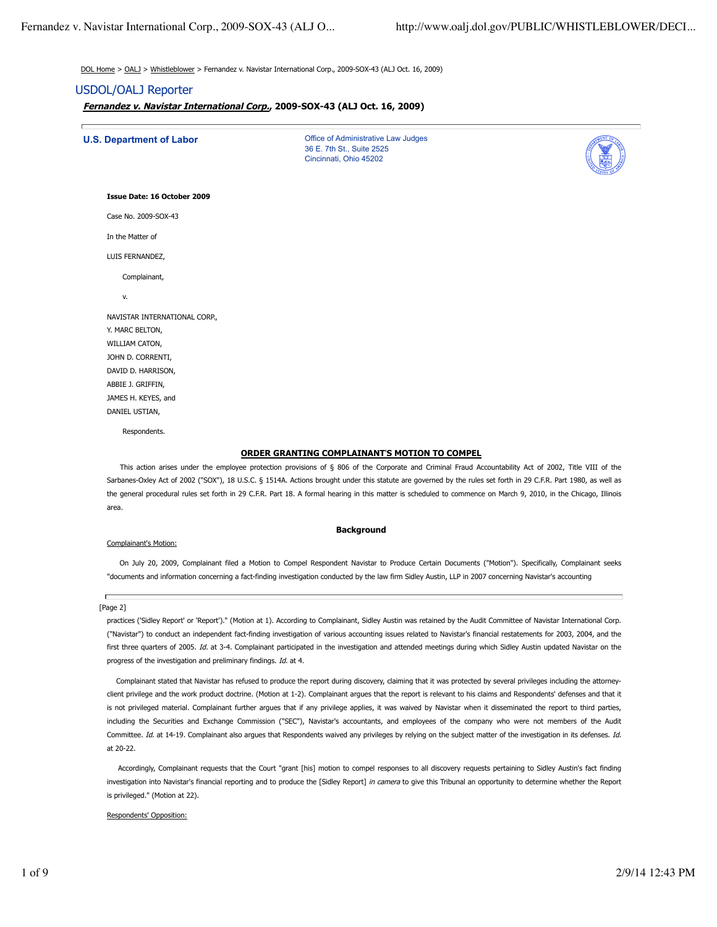DOL Home > OALJ > Whistleblower > Fernandez v. Navistar International Corp., 2009-SOX-43 (ALJ Oct. 16, 2009)

# USDOL/OALJ Reporter

**Fernandez v. Navistar International Corp., 2009-SOX-43 (ALJ Oct. 16, 2009)**

**U.S. Department of Labor** Office of Administrative Law Judges

36 E. 7th St., Suite 2525 Cincinnati, Ohio 45202



#### **Issue Date: 16 October 2009**

Case No. 2009-SOX-43

In the Matter of

LUIS FERNANDEZ,

Complainant,

v.

| NAVISTAR INTERNATIONAL CORP., |
|-------------------------------|
|                               |
| Y. MARC BELTON,               |
| WILLIAM CATON,                |
| JOHN D. CORRENTI,             |
| DAVID D. HARRISON,            |
| ABBIE J. GRIFFIN,             |
| JAMES H. KEYES, and           |
| DANIEL USTIAN,                |

Respondents.

## **ORDER GRANTING COMPLAINANT**'**S MOTION TO COMPEL**

This action arises under the employee protection provisions of § 806 of the Corporate and Criminal Fraud Accountability Act of 2002, Title VIII of the Sarbanes-Oxley Act of 2002 ("SOX"), 18 U.S.C. § 1514A. Actions brought under this statute are governed by the rules set forth in 29 C.F.R. Part 1980, as well as the general procedural rules set forth in 29 C.F.R. Part 18. A formal hearing in this matter is scheduled to commence on March 9, 2010, in the Chicago, Illinois area.

## **Background**

## Complainant's Motion:

 On July 20, 2009, Complainant filed a Motion to Compel Respondent Navistar to Produce Certain Documents ("Motion"). Specifically, Complainant seeks "documents and information concerning a fact-finding investigation conducted by the law firm Sidley Austin, LLP in 2007 concerning Navistar's accounting

#### [Page 2]

practices ('Sidley Report' or 'Report')." (Motion at 1). According to Complainant, Sidley Austin was retained by the Audit Committee of Navistar International Corp. ("Navistar") to conduct an independent fact-finding investigation of various accounting issues related to Navistar's financial restatements for 2003, 2004, and the first three quarters of 2005. Id. at 3-4. Complainant participated in the investigation and attended meetings during which Sidley Austin updated Navistar on the progress of the investigation and preliminary findings. Id. at 4.

 Complainant stated that Navistar has refused to produce the report during discovery, claiming that it was protected by several privileges including the attorneyclient privilege and the work product doctrine. (Motion at 1-2). Complainant argues that the report is relevant to his claims and Respondents' defenses and that it is not privileged material. Complainant further argues that if any privilege applies, it was waived by Navistar when it disseminated the report to third parties, including the Securities and Exchange Commission ("SEC"), Navistar's accountants, and employees of the company who were not members of the Audit Committee. Id. at 14-19. Complainant also argues that Respondents waived any privileges by relying on the subject matter of the investigation in its defenses. Id. at 20-22.

 Accordingly, Complainant requests that the Court "grant [his] motion to compel responses to all discovery requests pertaining to Sidley Austin's fact finding investigation into Navistar's financial reporting and to produce the [Sidley Report] in camera to give this Tribunal an opportunity to determine whether the Report is privileged." (Motion at 22).

## Respondents' Opposition: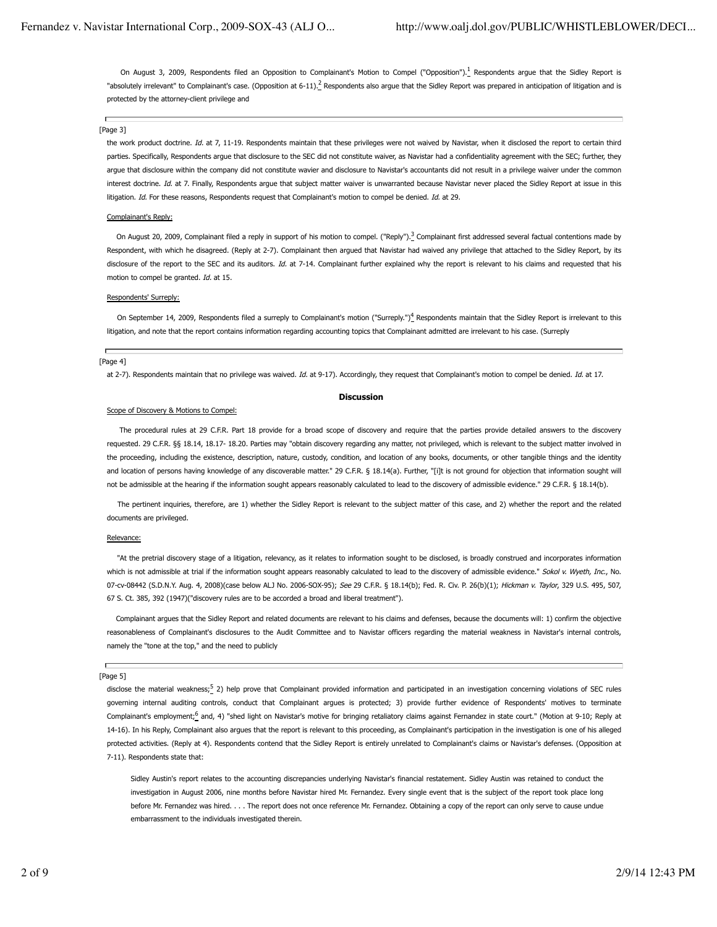On August 3, 2009, Respondents filed an Opposition to Complainant's Motion to Compel ("Opposition").<sup>1</sup> Respondents argue that the Sidley Report is "absolutely irrelevant" to Complainant's case. (Opposition at 6-11).<sup>2</sup> Respondents also argue that the Sidley Report was prepared in anticipation of litigation and is protected by the attorney-client privilege and

## п [Page 3]

the work product doctrine. Id. at 7, 11-19. Respondents maintain that these privileges were not waived by Navistar, when it disclosed the report to certain third parties. Specifically, Respondents argue that disclosure to the SEC did not constitute waiver, as Navistar had a confidentiality agreement with the SEC; further, they argue that disclosure within the company did not constitute wavier and disclosure to Navistar's accountants did not result in a privilege waiver under the common interest doctrine. Id. at 7. Finally, Respondents argue that subject matter waiver is unwarranted because Navistar never placed the Sidley Report at issue in this litigation. Id. For these reasons, Respondents request that Complainant's motion to compel be denied. Id. at 29.

## Complainant's Reply:

On August 20, 2009, Complainant filed a reply in support of his motion to compel. ("Reply").<sup>3</sup> Complainant first addressed several factual contentions made by Respondent, with which he disagreed. (Reply at 2-7). Complainant then argued that Navistar had waived any privilege that attached to the Sidley Report, by its disclosure of the report to the SEC and its auditors. Id. at 7-14. Complainant further explained why the report is relevant to his claims and requested that his motion to compel be granted. Id. at 15.

## Respondents' Surreply:

On September 14, 2009, Respondents filed a surreply to Complainant's motion ("Surreply.")<sup>4</sup> Respondents maintain that the Sidley Report is irrelevant to this litigation, and note that the report contains information regarding accounting topics that Complainant admitted are irrelevant to his case. (Surreply

## Н [Page 4]

at 2-7). Respondents maintain that no privilege was waived. Id. at 9-17). Accordingly, they request that Complainant's motion to compel be denied. Id. at 17.

### **Discussion**

## Scope of Discovery & Motions to Compel:

 The procedural rules at 29 C.F.R. Part 18 provide for a broad scope of discovery and require that the parties provide detailed answers to the discovery requested. 29 C.F.R. §§ 18.14, 18.17- 18.20. Parties may "obtain discovery regarding any matter, not privileged, which is relevant to the subject matter involved in the proceeding, including the existence, description, nature, custody, condition, and location of any books, documents, or other tangible things and the identity and location of persons having knowledge of any discoverable matter." 29 C.F.R. § 18.14(a). Further, "[i]t is not ground for objection that information sought will not be admissible at the hearing if the information sought appears reasonably calculated to lead to the discovery of admissible evidence." 29 C.F.R. § 18.14(b).

 The pertinent inquiries, therefore, are 1) whether the Sidley Report is relevant to the subject matter of this case, and 2) whether the report and the related documents are privileged.

## Relevance:

 "At the pretrial discovery stage of a litigation, relevancy, as it relates to information sought to be disclosed, is broadly construed and incorporates information which is not admissible at trial if the information sought appears reasonably calculated to lead to the discovery of admissible evidence." Sokol v. Wyeth, Inc., No. 07-cv-08442 (S.D.N.Y. Aug. 4, 2008)(case below ALJ No. 2006-SOX-95); See 29 C.F.R. § 18.14(b); Fed. R. Civ. P. 26(b)(1); Hickman v. Taylor, 329 U.S. 495, 507, 67 S. Ct. 385, 392 (1947)("discovery rules are to be accorded a broad and liberal treatment").

 Complainant argues that the Sidley Report and related documents are relevant to his claims and defenses, because the documents will: 1) confirm the objective reasonableness of Complainant's disclosures to the Audit Committee and to Navistar officers regarding the material weakness in Navistar's internal controls, namely the "tone at the top," and the need to publicly

## [Page 5]

disclose the material weakness;<sup>5</sup> 2) help prove that Complainant provided information and participated in an investigation concerning violations of SEC rules governing internal auditing controls, conduct that Complainant argues is protected; 3) provide further evidence of Respondents' motives to terminate Complainant's employment;<sup>6</sup> and, 4) "shed light on Navistar's motive for bringing retaliatory claims against Fernandez in state court." (Motion at 9-10; Reply at 14-16). In his Reply, Complainant also argues that the report is relevant to this proceeding, as Complainant's participation in the investigation is one of his alleged protected activities. (Reply at 4). Respondents contend that the Sidley Report is entirely unrelated to Complainant's claims or Navistar's defenses. (Opposition at 7-11). Respondents state that:

Sidley Austin's report relates to the accounting discrepancies underlying Navistar's financial restatement. Sidley Austin was retained to conduct the investigation in August 2006, nine months before Navistar hired Mr. Fernandez. Every single event that is the subject of the report took place long before Mr. Fernandez was hired. . . . The report does not once reference Mr. Fernandez. Obtaining a copy of the report can only serve to cause undue embarrassment to the individuals investigated therein.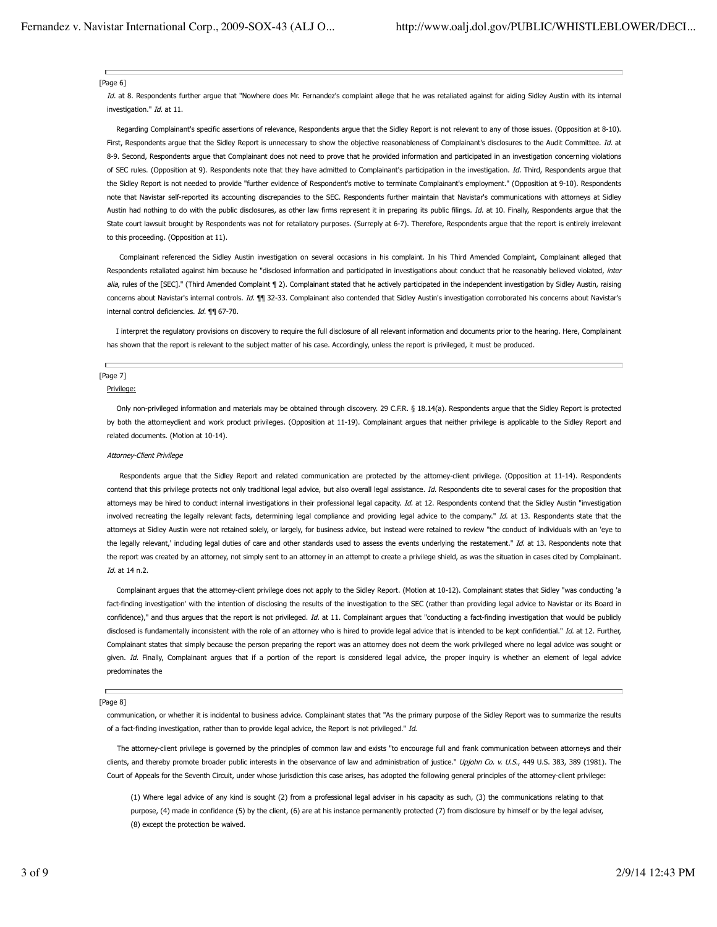## [Page 6]

Id. at 8. Respondents further argue that "Nowhere does Mr. Fernandez's complaint allege that he was retaliated against for aiding Sidley Austin with its internal investigation." Id. at 11.

 Regarding Complainant's specific assertions of relevance, Respondents argue that the Sidley Report is not relevant to any of those issues. (Opposition at 8-10). First, Respondents argue that the Sidley Report is unnecessary to show the objective reasonableness of Complainant's disclosures to the Audit Committee. Id. at 8-9. Second, Respondents argue that Complainant does not need to prove that he provided information and participated in an investigation concerning violations of SEC rules. (Opposition at 9). Respondents note that they have admitted to Complainant's participation in the investigation. Id. Third, Respondents argue that the Sidley Report is not needed to provide "further evidence of Respondent's motive to terminate Complainant's employment." (Opposition at 9-10). Respondents note that Navistar self-reported its accounting discrepancies to the SEC. Respondents further maintain that Navistar's communications with attorneys at Sidley Austin had nothing to do with the public disclosures, as other law firms represent it in preparing its public filings. Id. at 10. Finally, Respondents argue that the State court lawsuit brought by Respondents was not for retaliatory purposes. (Surreply at 6-7). Therefore, Respondents argue that the report is entirely irrelevant to this proceeding. (Opposition at 11).

 Complainant referenced the Sidley Austin investigation on several occasions in his complaint. In his Third Amended Complaint, Complainant alleged that Respondents retaliated against him because he "disclosed information and participated in investigations about conduct that he reasonably believed violated, inter alia, rules of the [SEC]." (Third Amended Complaint ¶ 2). Complainant stated that he actively participated in the independent investigation by Sidley Austin, raising concerns about Navistar's internal controls. Id.  $\P$  32-33. Complainant also contended that Sidley Austin's investigation corroborated his concerns about Navistar's internal control deficiencies. Id. ¶¶ 67-70.

 I interpret the regulatory provisions on discovery to require the full disclosure of all relevant information and documents prior to the hearing. Here, Complainant has shown that the report is relevant to the subject matter of his case. Accordingly, unless the report is privileged, it must be produced.

## [Page 7]

#### Privilege:

 Only non-privileged information and materials may be obtained through discovery. 29 C.F.R. § 18.14(a). Respondents argue that the Sidley Report is protected by both the attorneyclient and work product privileges. (Opposition at 11-19). Complainant argues that neither privilege is applicable to the Sidley Report and related documents. (Motion at 10-14).

### Attorney-Client Privilege

 Respondents argue that the Sidley Report and related communication are protected by the attorney-client privilege. (Opposition at 11-14). Respondents contend that this privilege protects not only traditional legal advice, but also overall legal assistance. Id. Respondents cite to several cases for the proposition that attorneys may be hired to conduct internal investigations in their professional legal capacity. Id. at 12. Respondents contend that the Sidley Austin "investigation involved recreating the legally relevant facts, determining legal compliance and providing legal advice to the company." Id. at 13. Respondents state that the attorneys at Sidley Austin were not retained solely, or largely, for business advice, but instead were retained to review "the conduct of individuals with an 'eye to the legally relevant,' including legal duties of care and other standards used to assess the events underlying the restatement." Id. at 13. Respondents note that the report was created by an attorney, not simply sent to an attorney in an attempt to create a privilege shield, as was the situation in cases cited by Complainant. Id. at 14 n.2.

 Complainant argues that the attorney-client privilege does not apply to the Sidley Report. (Motion at 10-12). Complainant states that Sidley "was conducting 'a fact-finding investigation' with the intention of disclosing the results of the investigation to the SEC (rather than providing legal advice to Navistar or its Board in confidence)," and thus argues that the report is not privileged. Id. at 11. Complainant argues that "conducting a fact-finding investigation that would be publicly disclosed is fundamentally inconsistent with the role of an attorney who is hired to provide legal advice that is intended to be kept confidential." Id. at 12. Further, Complainant states that simply because the person preparing the report was an attorney does not deem the work privileged where no legal advice was sought or given. Id. Finally, Complainant argues that if a portion of the report is considered legal advice, the proper inquiry is whether an element of legal advice predominates the

## [Page 8]

communication, or whether it is incidental to business advice. Complainant states that "As the primary purpose of the Sidley Report was to summarize the results of a fact-finding investigation, rather than to provide legal advice, the Report is not privileged." Id.

 The attorney-client privilege is governed by the principles of common law and exists "to encourage full and frank communication between attorneys and their clients, and thereby promote broader public interests in the observance of law and administration of justice." Upjohn Co. v. U.S., 449 U.S. 383, 389 (1981). The Court of Appeals for the Seventh Circuit, under whose jurisdiction this case arises, has adopted the following general principles of the attorney-client privilege:

(1) Where legal advice of any kind is sought (2) from a professional legal adviser in his capacity as such, (3) the communications relating to that purpose, (4) made in confidence (5) by the client, (6) are at his instance permanently protected (7) from disclosure by himself or by the legal adviser, (8) except the protection be waived.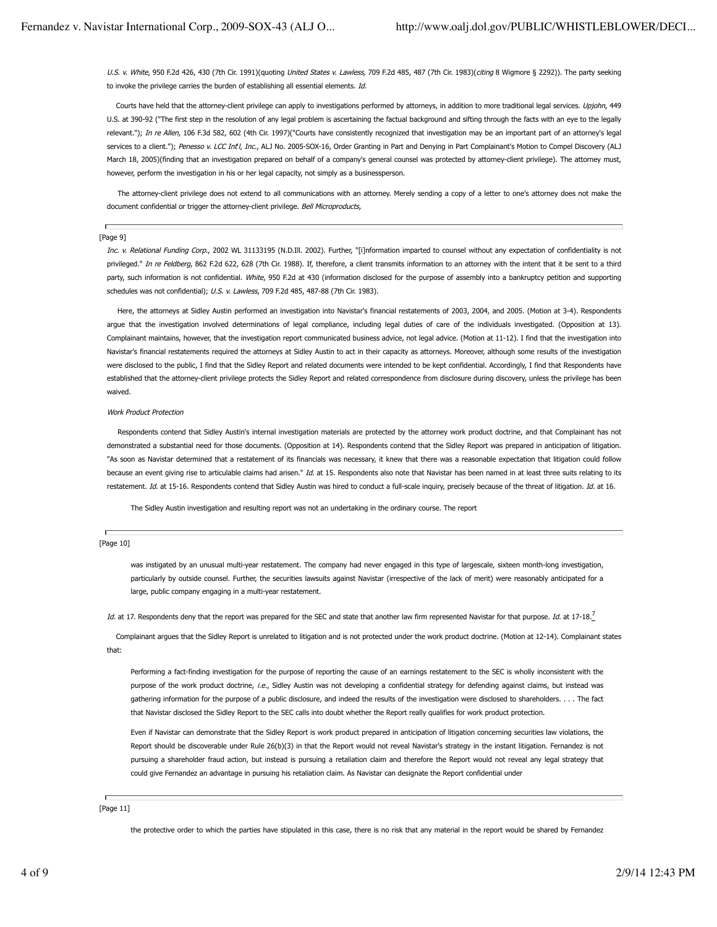U.S. v. White, 950 F.2d 426, 430 (7th Cir. 1991)(quoting United States v. Lawless, 709 F.2d 485, 487 (7th Cir. 1983)(citing 8 Wigmore § 2292)). The party seeking to invoke the privilege carries the burden of establishing all essential elements. Id.

Courts have held that the attorney-client privilege can apply to investigations performed by attorneys, in addition to more traditional legal services. Upjohn, 449 U.S. at 390-92 ("The first step in the resolution of any legal problem is ascertaining the factual background and sifting through the facts with an eye to the legally relevant."); In re Allen, 106 F.3d 582, 602 (4th Cir. 1997)("Courts have consistently recognized that investigation may be an important part of an attorney's legal services to a client."); Penesso v. LCC Int'l, Inc., ALJ No. 2005-SOX-16, Order Granting in Part and Denying in Part Complainant's Motion to Compel Discovery (ALJ March 18, 2005)(finding that an investigation prepared on behalf of a company's general counsel was protected by attorney-client privilege). The attorney must, however, perform the investigation in his or her legal capacity, not simply as a businessperson.

 The attorney-client privilege does not extend to all communications with an attorney. Merely sending a copy of a letter to one's attorney does not make the document confidential or trigger the attorney-client privilege. Bell Microproducts,

## г [Page 9]

Inc. v. Relational Funding Corp., 2002 WL 31133195 (N.D.Ill. 2002). Further, "[i]nformation imparted to counsel without any expectation of confidentiality is not privileged." In re Feldberg, 862 F.2d 622, 628 (7th Cir. 1988). If, therefore, a client transmits information to an attorney with the intent that it be sent to a third party, such information is not confidential. White, 950 F.2d at 430 (information disclosed for the purpose of assembly into a bankruptcy petition and supporting schedules was not confidential); U.S. v. Lawless, 709 F.2d 485, 487-88 (7th Cir. 1983).

 Here, the attorneys at Sidley Austin performed an investigation into Navistar's financial restatements of 2003, 2004, and 2005. (Motion at 3-4). Respondents argue that the investigation involved determinations of legal compliance, including legal duties of care of the individuals investigated. (Opposition at 13). Complainant maintains, however, that the investigation report communicated business advice, not legal advice. (Motion at 11-12). I find that the investigation into Navistar's financial restatements required the attorneys at Sidley Austin to act in their capacity as attorneys. Moreover, although some results of the investigation were disclosed to the public, I find that the Sidley Report and related documents were intended to be kept confidential. Accordingly, I find that Respondents have established that the attorney-client privilege protects the Sidley Report and related correspondence from disclosure during discovery, unless the privilege has been waived.

#### Work Product Protection

 Respondents contend that Sidley Austin's internal investigation materials are protected by the attorney work product doctrine, and that Complainant has not demonstrated a substantial need for those documents. (Opposition at 14). Respondents contend that the Sidley Report was prepared in anticipation of litigation. "As soon as Navistar determined that a restatement of its financials was necessary, it knew that there was a reasonable expectation that litigation could follow because an event giving rise to articulable claims had arisen." Id. at 15. Respondents also note that Navistar has been named in at least three suits relating to its restatement. Id. at 15-16. Respondents contend that Sidley Austin was hired to conduct a full-scale inquiry, precisely because of the threat of litigation. Id. at 16.

The Sidley Austin investigation and resulting report was not an undertaking in the ordinary course. The report

## [Page 10]

was instigated by an unusual multi-year restatement. The company had never engaged in this type of largescale, sixteen month-long investigation, particularly by outside counsel. Further, the securities lawsuits against Navistar (irrespective of the lack of merit) were reasonably anticipated for a large, public company engaging in a multi-year restatement.

Id. at 17. Respondents deny that the report was prepared for the SEC and state that another law firm represented Navistar for that purpose. Id. at 17-18.<sup>7</sup>

 Complainant argues that the Sidley Report is unrelated to litigation and is not protected under the work product doctrine. (Motion at 12-14). Complainant states that:

Performing a fact-finding investigation for the purpose of reporting the cause of an earnings restatement to the SEC is wholly inconsistent with the purpose of the work product doctrine, i.e., Sidley Austin was not developing a confidential strategy for defending against claims, but instead was gathering information for the purpose of a public disclosure, and indeed the results of the investigation were disclosed to shareholders. . . . The fact that Navistar disclosed the Sidley Report to the SEC calls into doubt whether the Report really qualifies for work product protection.

Even if Navistar can demonstrate that the Sidley Report is work product prepared in anticipation of litigation concerning securities law violations, the Report should be discoverable under Rule 26(b)(3) in that the Report would not reveal Navistar's strategy in the instant litigation. Fernandez is not pursuing a shareholder fraud action, but instead is pursuing a retaliation claim and therefore the Report would not reveal any legal strategy that could give Fernandez an advantage in pursuing his retaliation claim. As Navistar can designate the Report confidential under

## [Page 11]

the protective order to which the parties have stipulated in this case, there is no risk that any material in the report would be shared by Fernandez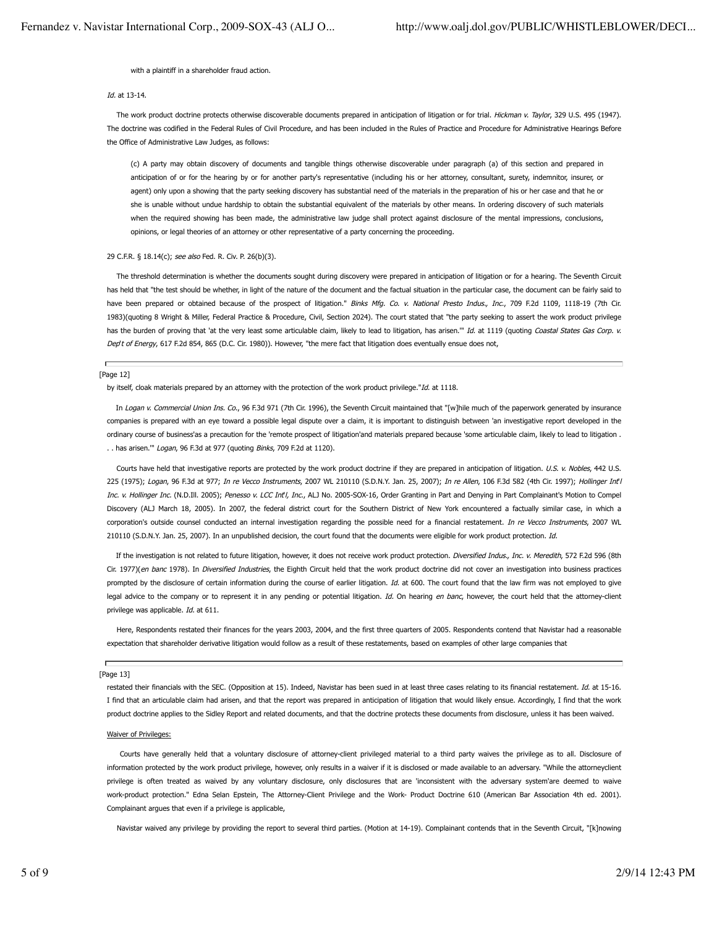#### with a plaintiff in a shareholder fraud action.

## Id. at 13-14.

The work product doctrine protects otherwise discoverable documents prepared in anticipation of litigation or for trial. Hickman v. Taylor, 329 U.S. 495 (1947). The doctrine was codified in the Federal Rules of Civil Procedure, and has been included in the Rules of Practice and Procedure for Administrative Hearings Before the Office of Administrative Law Judges, as follows:

(c) A party may obtain discovery of documents and tangible things otherwise discoverable under paragraph (a) of this section and prepared in anticipation of or for the hearing by or for another party's representative (including his or her attorney, consultant, surety, indemnitor, insurer, or agent) only upon a showing that the party seeking discovery has substantial need of the materials in the preparation of his or her case and that he or she is unable without undue hardship to obtain the substantial equivalent of the materials by other means. In ordering discovery of such materials when the required showing has been made, the administrative law judge shall protect against disclosure of the mental impressions, conclusions, opinions, or legal theories of an attorney or other representative of a party concerning the proceeding.

## 29 C.F.R. § 18.14(c); see also Fed. R. Civ. P. 26(b)(3).

 The threshold determination is whether the documents sought during discovery were prepared in anticipation of litigation or for a hearing. The Seventh Circuit has held that "the test should be whether, in light of the nature of the document and the factual situation in the particular case, the document can be fairly said to have been prepared or obtained because of the prospect of litigation." Binks Mfg. Co. v. National Presto Indus., Inc., 709 F.2d 1109, 1118-19 (7th Cir. 1983)(quoting 8 Wright & Miller, Federal Practice & Procedure, Civil, Section 2024). The court stated that "the party seeking to assert the work product privilege has the burden of proving that 'at the very least some articulable claim, likely to lead to litigation, has arisen." Id. at 1119 (quoting Coastal States Gas Corp. v. Dep't of Energy, 617 F.2d 854, 865 (D.C. Cir. 1980)). However, "the mere fact that litigation does eventually ensue does not,

## Ē [Page 12]

by itself, cloak materials prepared by an attorney with the protection of the work product privilege."Id. at 1118.

In Logan v. Commercial Union Ins. Co., 96 F.3d 971 (7th Cir. 1996), the Seventh Circuit maintained that "[w]hile much of the paperwork generated by insurance companies is prepared with an eye toward a possible legal dispute over a claim, it is important to distinguish between 'an investigative report developed in the ordinary course of business'as a precaution for the 'remote prospect of litigation'and materials prepared because 'some articulable claim, likely to lead to litigation . . . has arisen."" Logan, 96 F.3d at 977 (quoting Binks, 709 F.2d at 1120).

Courts have held that investigative reports are protected by the work product doctrine if they are prepared in anticipation of litigation. U.S. v. Nobles, 442 U.S. 225 (1975); Logan, 96 F.3d at 977; In re Vecco Instruments, 2007 WL 210110 (S.D.N.Y. Jan. 25, 2007); In re Allen, 106 F.3d 582 (4th Cir. 1997); Hollinger Int'l Inc. v. Hollinger Inc. (N.D.Ill. 2005); Penesso v. LCC Int<sup>1</sup>, Inc., ALJ No. 2005-SOX-16, Order Granting in Part and Denying in Part Complainant's Motion to Compel Discovery (ALJ March 18, 2005). In 2007, the federal district court for the Southern District of New York encountered a factually similar case, in which a corporation's outside counsel conducted an internal investigation regarding the possible need for a financial restatement. In re Vecco Instruments, 2007 WL 210110 (S.D.N.Y. Jan. 25, 2007). In an unpublished decision, the court found that the documents were eligible for work product protection. *Id.* 

If the investigation is not related to future litigation, however, it does not receive work product protection. Diversified Indus., Inc. v. Meredith, 572 F.2d 596 (8th Cir. 1977)(en banc 1978). In Diversified Industries, the Eighth Circuit held that the work product doctrine did not cover an investigation into business practices prompted by the disclosure of certain information during the course of earlier litigation. Id. at 600. The court found that the law firm was not employed to give legal advice to the company or to represent it in any pending or potential litigation. Id. On hearing en banc, however, the court held that the attorney-client privilege was applicable. Id. at 611.

 Here, Respondents restated their finances for the years 2003, 2004, and the first three quarters of 2005. Respondents contend that Navistar had a reasonable expectation that shareholder derivative litigation would follow as a result of these restatements, based on examples of other large companies that

## Ē [Page 13]

restated their financials with the SEC. (Opposition at 15). Indeed, Navistar has been sued in at least three cases relating to its financial restatement. Id. at 15-16. I find that an articulable claim had arisen, and that the report was prepared in anticipation of litigation that would likely ensue. Accordingly, I find that the work product doctrine applies to the Sidley Report and related documents, and that the doctrine protects these documents from disclosure, unless it has been waived.

#### Waiver of Privileges:

 Courts have generally held that a voluntary disclosure of attorney-client privileged material to a third party waives the privilege as to all. Disclosure of information protected by the work product privilege, however, only results in a waiver if it is disclosed or made available to an adversary. "While the attorneyclient privilege is often treated as waived by any voluntary disclosure, only disclosures that are 'inconsistent with the adversary system'are deemed to waive work-product protection." Edna Selan Epstein, The Attorney-Client Privilege and the Work- Product Doctrine 610 (American Bar Association 4th ed. 2001). Complainant argues that even if a privilege is applicable,

Navistar waived any privilege by providing the report to several third parties. (Motion at 14-19). Complainant contends that in the Seventh Circuit, "[k]nowing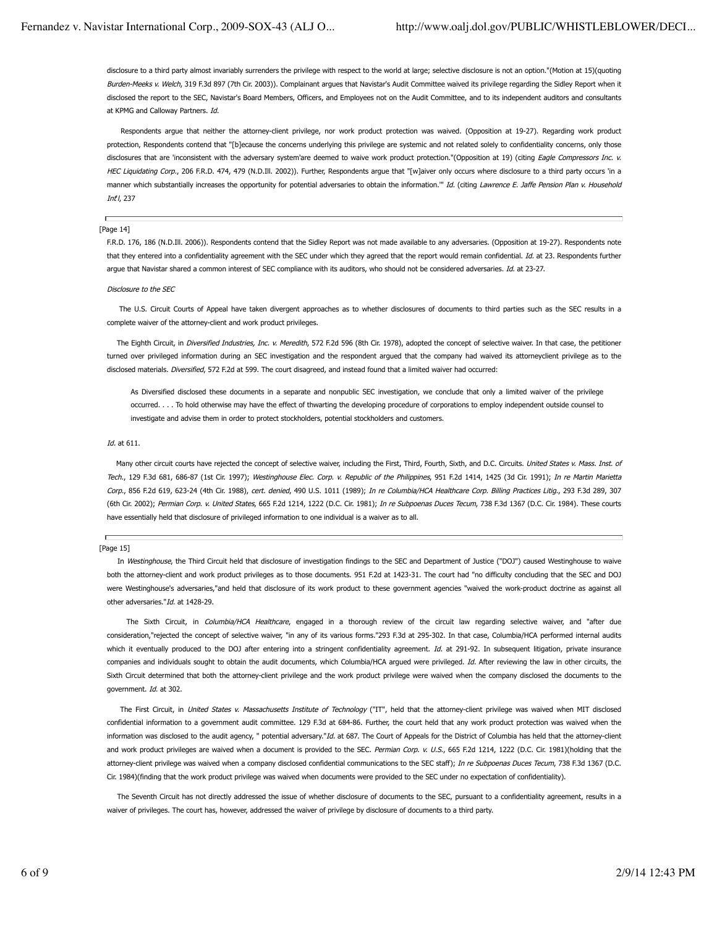disclosure to a third party almost invariably surrenders the privilege with respect to the world at large; selective disclosure is not an option."(Motion at 15)(quoting Burden-Meeks v. Welch, 319 F.3d 897 (7th Cir. 2003)). Complainant argues that Navistar's Audit Committee waived its privilege regarding the Sidley Report when it disclosed the report to the SEC, Navistar's Board Members, Officers, and Employees not on the Audit Committee, and to its independent auditors and consultants at KPMG and Calloway Partners. Id.

 Respondents argue that neither the attorney-client privilege, nor work product protection was waived. (Opposition at 19-27). Regarding work product protection, Respondents contend that "[b]ecause the concerns underlying this privilege are systemic and not related solely to confidentiality concerns, only those disclosures that are 'inconsistent with the adversary system'are deemed to waive work product protection."(Opposition at 19) (citing Eagle Compressors Inc. v. HEC Liquidating Corp., 206 F.R.D. 474, 479 (N.D.Ill. 2002)). Further, Respondents arque that "[w]aiver only occurs where disclosure to a third party occurs 'in a manner which substantially increases the opportunity for potential adversaries to obtain the information." Id. (citing Lawrence E. Jaffe Pension Plan v. Household Int'l, 237

## Ē [Page 14]

F.R.D. 176, 186 (N.D.Ill. 2006)). Respondents contend that the Sidley Report was not made available to any adversaries. (Opposition at 19-27). Respondents note that they entered into a confidentiality agreement with the SEC under which they agreed that the report would remain confidential. Id. at 23. Respondents further argue that Navistar shared a common interest of SEC compliance with its auditors, who should not be considered adversaries. Id. at 23-27.

#### Disclosure to the SEC

 The U.S. Circuit Courts of Appeal have taken divergent approaches as to whether disclosures of documents to third parties such as the SEC results in a complete waiver of the attorney-client and work product privileges.

The Eighth Circuit, in Diversified Industries, Inc. v. Meredith, 572 F.2d 596 (8th Cir. 1978), adopted the concept of selective waiver. In that case, the petitioner turned over privileged information during an SEC investigation and the respondent argued that the company had waived its attorneyclient privilege as to the disclosed materials. Diversified, 572 F.2d at 599. The court disagreed, and instead found that a limited waiver had occurred:

As Diversified disclosed these documents in a separate and nonpublic SEC investigation, we conclude that only a limited waiver of the privilege occurred. . . . To hold otherwise may have the effect of thwarting the developing procedure of corporations to employ independent outside counsel to investigate and advise them in order to protect stockholders, potential stockholders and customers.

## Id. at 611.

Many other circuit courts have rejected the concept of selective waiver, including the First, Third, Fourth, Sixth, and D.C. Circuits. United States v. Mass. Inst. of Tech., 129 F.3d 681, 686-87 (1st Cir. 1997); Westinghouse Elec. Corp. v. Republic of the Philippines, 951 F.2d 1414, 1425 (3d Cir. 1991); In re Martin Marietta Corp., 856 F.2d 619, 623-24 (4th Cir. 1988), cert. denied, 490 U.S. 1011 (1989); In re Columbia/HCA Healthcare Corp. Billing Practices Litig., 293 F.3d 289, 307 (6th Cir. 2002); Permian Corp. v. United States, 665 F.2d 1214, 1222 (D.C. Cir. 1981); In re Subpoenas Duces Tecum, 738 F.3d 1367 (D.C. Cir. 1984). These courts have essentially held that disclosure of privileged information to one individual is a waiver as to all.

#### [Page 15]

In Westinghouse, the Third Circuit held that disclosure of investigation findings to the SEC and Department of Justice ("DOJ") caused Westinghouse to waive both the attorney-client and work product privileges as to those documents. 951 F.2d at 1423-31. The court had "no difficulty concluding that the SEC and DOJ were Westinghouse's adversaries,"and held that disclosure of its work product to these government agencies "waived the work-product doctrine as against all other adversaries."Id. at 1428-29.

The Sixth Circuit, in Columbia/HCA Healthcare, engaged in a thorough review of the circuit law regarding selective waiver, and "after due consideration,"rejected the concept of selective waiver, "in any of its various forms."293 F.3d at 295-302. In that case, Columbia/HCA performed internal audits which it eventually produced to the DOJ after entering into a stringent confidentiality agreement. Id. at 291-92. In subsequent litigation, private insurance companies and individuals sought to obtain the audit documents, which Columbia/HCA argued were privileged. Id. After reviewing the law in other circuits, the Sixth Circuit determined that both the attorney-client privilege and the work product privilege were waived when the company disclosed the documents to the government. *Id.* at 302.

The First Circuit, in United States v. Massachusetts Institute of Technology ("IT", held that the attorney-client privilege was waived when MIT disclosed confidential information to a government audit committee. 129 F.3d at 684-86. Further, the court held that any work product protection was waived when the information was disclosed to the audit agency, " potential adversary."Id. at 687. The Court of Appeals for the District of Columbia has held that the attorney-client and work product privileges are waived when a document is provided to the SEC. Permian Corp. v. U.S., 665 F.2d 1214, 1222 (D.C. Cir. 1981)(holding that the attorney-client privilege was waived when a company disclosed confidential communications to the SEC staff); In re Subpoenas Duces Tecum, 738 F.3d 1367 (D.C. Cir. 1984)(finding that the work product privilege was waived when documents were provided to the SEC under no expectation of confidentiality).

The Seventh Circuit has not directly addressed the issue of whether disclosure of documents to the SEC, pursuant to a confidentiality agreement, results in a waiver of privileges. The court has, however, addressed the waiver of privilege by disclosure of documents to a third party.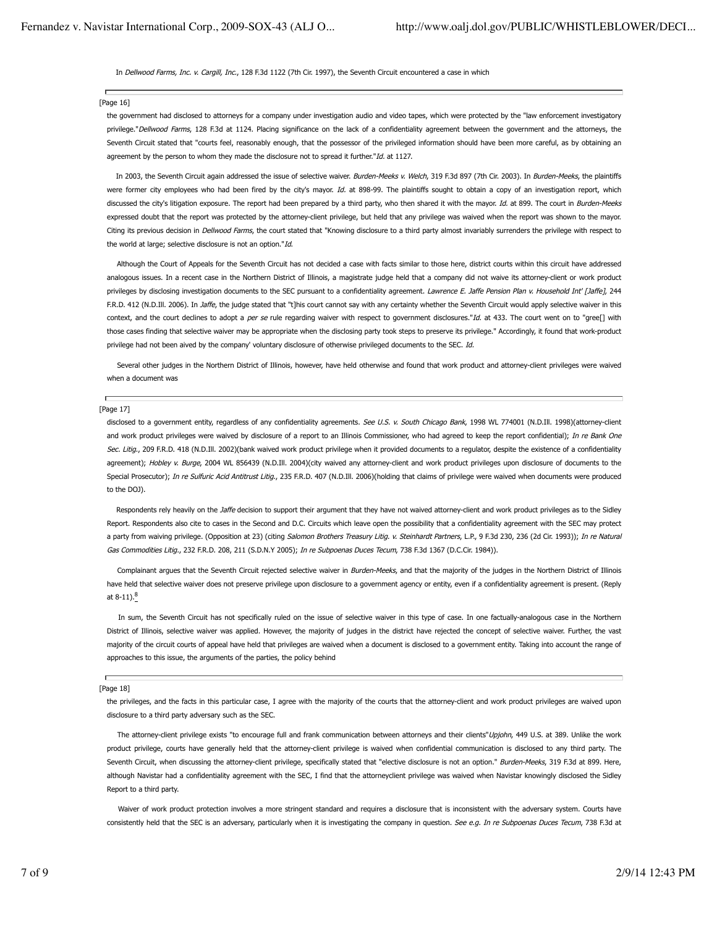## In Dellwood Farms, Inc. v. Cargill, Inc., 128 F.3d 1122 (7th Cir. 1997), the Seventh Circuit encountered a case in which

## [Page 16]

the government had disclosed to attorneys for a company under investigation audio and video tapes, which were protected by the "law enforcement investigatory privilege."Dellwood Farms, 128 F.3d at 1124. Placing significance on the lack of a confidentiality agreement between the government and the attorneys, the Seventh Circuit stated that "courts feel, reasonably enough, that the possessor of the privileged information should have been more careful, as by obtaining an agreement by the person to whom they made the disclosure not to spread it further." $Id$ . at 1127.

In 2003, the Seventh Circuit again addressed the issue of selective waiver. Burden-Meeks v. Welch, 319 F.3d 897 (7th Cir. 2003). In Burden-Meeks, the plaintiffs were former city employees who had been fired by the city's mayor. Id. at 898-99. The plaintiffs sought to obtain a copy of an investigation report, which discussed the city's litigation exposure. The report had been prepared by a third party, who then shared it with the mayor. Id. at 899. The court in Burden-Meeks expressed doubt that the report was protected by the attorney-client privilege, but held that any privilege was waived when the report was shown to the mayor. Citing its previous decision in Dellwood Farms, the court stated that "Knowing disclosure to a third party almost invariably surrenders the privilege with respect to the world at large; selective disclosure is not an option."Id.

 Although the Court of Appeals for the Seventh Circuit has not decided a case with facts similar to those here, district courts within this circuit have addressed analogous issues. In a recent case in the Northern District of Illinois, a magistrate judge held that a company did not waive its attorney-client or work product privileges by disclosing investigation documents to the SEC pursuant to a confidentiality agreement. Lawrence E. Jaffe Pension Plan v. Household Int' [Jaffe], 244 F.R.D. 412 (N.D.Ill. 2006). In Jaffe, the judge stated that "t]his court cannot say with any certainty whether the Seventh Circuit would apply selective waiver in this context, and the court declines to adopt a per se rule regarding waiver with respect to government disclosures."Id. at 433. The court went on to "gree[] with those cases finding that selective waiver may be appropriate when the disclosing party took steps to preserve its privilege." Accordingly, it found that work-product privilege had not been aived by the company' voluntary disclosure of otherwise privileged documents to the SEC. Id.

 Several other judges in the Northern District of Illinois, however, have held otherwise and found that work product and attorney-client privileges were waived when a document was

## Ē [Page 17]

disclosed to a government entity, regardless of any confidentiality agreements. See U.S. v. South Chicago Bank, 1998 WL 774001 (N.D.Ill. 1998)(attorney-client and work product privileges were waived by disclosure of a report to an Illinois Commissioner, who had agreed to keep the report confidential); In re Bank One Sec. Litig., 209 F.R.D. 418 (N.D.Ill. 2002)(bank waived work product privilege when it provided documents to a regulator, despite the existence of a confidentiality agreement); Hobley v. Burge, 2004 WL 856439 (N.D.Ill. 2004)(city waived any attorney-client and work product privileges upon disclosure of documents to the Special Prosecutor); In re Sulfuric Acid Antitrust Litig., 235 F.R.D. 407 (N.D.Ill. 2006)(holding that claims of privilege were waived when documents were produced to the DOJ).

Respondents rely heavily on the Jaffe decision to support their argument that they have not waived attorney-client and work product privileges as to the Sidley Report. Respondents also cite to cases in the Second and D.C. Circuits which leave open the possibility that a confidentiality agreement with the SEC may protect a party from waiving privilege. (Opposition at 23) (citing Salomon Brothers Treasury Litig. v. Steinhardt Partners, L.P., 9 F.3d 230, 236 (2d Cir. 1993)); In re Natural Gas Commodities Litig., 232 F.R.D. 208, 211 (S.D.N.Y 2005); In re Subpoenas Duces Tecum, 738 F.3d 1367 (D.C.Cir. 1984)).

Complainant argues that the Seventh Circuit rejected selective waiver in Burden-Meeks, and that the majority of the judges in the Northern District of Illinois have held that selective waiver does not preserve privilege upon disclosure to a government agency or entity, even if a confidentiality agreement is present. (Reply at  $8-11$ ). $8$ 

 In sum, the Seventh Circuit has not specifically ruled on the issue of selective waiver in this type of case. In one factually-analogous case in the Northern District of Illinois, selective waiver was applied. However, the majority of judges in the district have rejected the concept of selective waiver. Further, the vast majority of the circuit courts of appeal have held that privileges are waived when a document is disclosed to a government entity. Taking into account the range of approaches to this issue, the arguments of the parties, the policy behind

#### [Page 18]

the privileges, and the facts in this particular case, I agree with the majority of the courts that the attorney-client and work product privileges are waived upon disclosure to a third party adversary such as the SEC.

The attorney-client privilege exists "to encourage full and frank communication between attorneys and their clients" Upjohn, 449 U.S. at 389. Unlike the work product privilege, courts have generally held that the attorney-client privilege is waived when confidential communication is disclosed to any third party. The Seventh Circuit, when discussing the attorney-client privilege, specifically stated that "elective disclosure is not an option." Burden-Meeks, 319 F.3d at 899. Here, although Navistar had a confidentiality agreement with the SEC, I find that the attorneyclient privilege was waived when Navistar knowingly disclosed the Sidley Report to a third party.

Waiver of work product protection involves a more stringent standard and requires a disclosure that is inconsistent with the adversary system. Courts have consistently held that the SEC is an adversary, particularly when it is investigating the company in question. See e.g. In re Subpoenas Duces Tecum, 738 F.3d at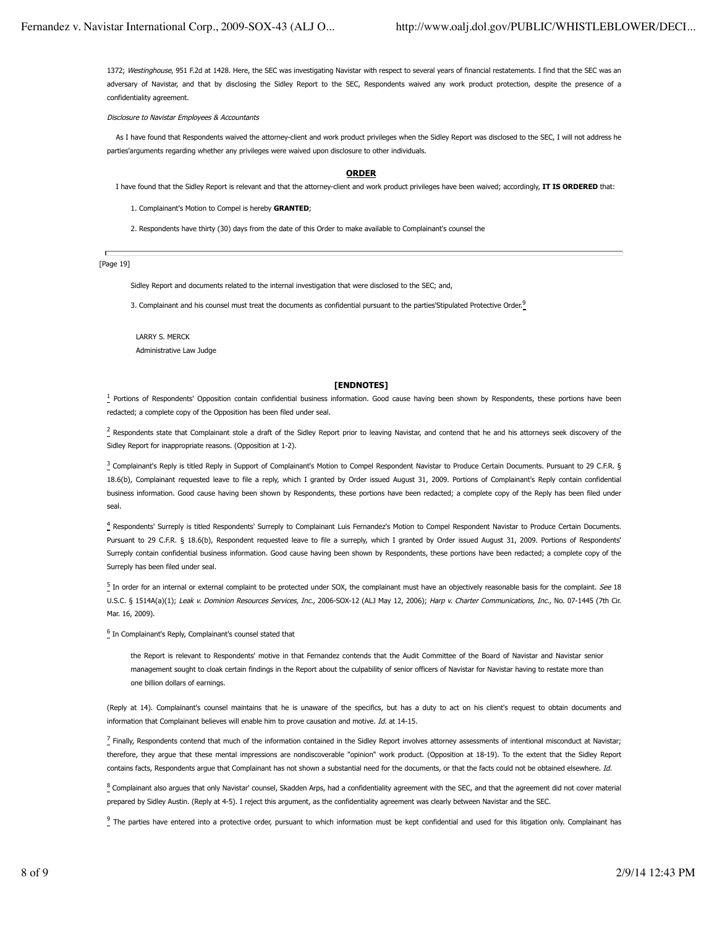1372; Westinghouse, 951 F.2d at 1428. Here, the SEC was investigating Navistar with respect to several years of financial restatements. I find that the SEC was an adversary of Navistar, and that by disclosing the Sidley Report to the SEC, Respondents waived any work product protection, despite the presence of a confidentiality agreement.

Disclosure to Navistar Employees & Accountants

As I have found that Respondents waived the attorney-client and work product privileges when the Sidley Report was disclosed to the SEC, I will not address he parties'arguments regarding whether any privileges were waived upon disclosure to other individuals.

## **ORDER**

I have found that the Sidley Report is relevant and that the attorney-client and work product privileges have been waived; accordingly, **IT IS ORDERED** that:

- 1. Complainant's Motion to Compel is hereby **GRANTED**;
- 2. Respondents have thirty (30) days from the date of this Order to make available to Complainant's counsel the

[Page 19]

Sidley Report and documents related to the internal investigation that were disclosed to the SEC; and,

3. Complainant and his counsel must treat the documents as confidential pursuant to the parties'Stipulated Protective Order.<sup>9</sup>

 LARRY S. MERCK Administrative Law Judge

## **[ENDNOTES]**

<sup>1</sup> Portions of Respondents' Opposition contain confidential business information. Good cause having been shown by Respondents, these portions have been redacted; a complete copy of the Opposition has been filed under seal.

 $\frac{2}{3}$  Respondents state that Complainant stole a draft of the Sidley Report prior to leaving Navistar, and contend that he and his attorneys seek discovery of the Sidley Report for inappropriate reasons. (Opposition at 1-2).

<sup>3</sup> Complainant's Reply is titled Reply in Support of Complainant's Motion to Compel Respondent Navistar to Produce Certain Documents. Pursuant to 29 C.F.R. § 18.6(b), Complainant requested leave to file a reply, which I granted by Order issued August 31, 2009. Portions of Complainant's Reply contain confidential business information. Good cause having been shown by Respondents, these portions have been redacted; a complete copy of the Reply has been filed under seal.

4 Respondents' Surreply is titled Respondents' Surreply to Complainant Luis Fernandez's Motion to Compel Respondent Navistar to Produce Certain Documents. Pursuant to 29 C.F.R. § 18.6(b), Respondent requested leave to file a surreply, which I granted by Order issued August 31, 2009. Portions of Respondents' Surreply contain confidential business information. Good cause having been shown by Respondents, these portions have been redacted; a complete copy of the Surreply has been filed under seal.

 $\frac{5}{2}$  In order for an internal or external complaint to be protected under SOX, the complainant must have an objectively reasonable basis for the complaint. See 18 U.S.C. § 1514A(a)(1); Leak v. Dominion Resources Services, Inc., 2006-SOX-12 (ALJ May 12, 2006); Harp v. Charter Communications, Inc., No. 07-1445 (7th Cir. Mar. 16, 2009).

<sup>6</sup> In Complainant's Reply, Complainant's counsel stated that

the Report is relevant to Respondents' motive in that Fernandez contends that the Audit Committee of the Board of Navistar and Navistar senior management sought to cloak certain findings in the Report about the culpability of senior officers of Navistar for Navistar having to restate more than one billion dollars of earnings.

(Reply at 14). Complainant's counsel maintains that he is unaware of the specifics, but has a duty to act on his client's request to obtain documents and information that Complainant believes will enable him to prove causation and motive. Id. at 14-15.

 $\frac{7}{2}$  Finally, Respondents contend that much of the information contained in the Sidley Report involves attorney assessments of intentional misconduct at Navistar; therefore, they argue that these mental impressions are nondiscoverable "opinion" work product. (Opposition at 18-19). To the extent that the Sidley Report contains facts, Respondents argue that Complainant has not shown a substantial need for the documents, or that the facts could not be obtained elsewhere. Id.

 $^8$  Complainant also argues that only Navistar' counsel, Skadden Arps, had a confidentiality agreement with the SEC, and that the agreement did not cover material prepared by Sidley Austin. (Reply at 4-5). I reject this argument, as the confidentiality agreement was clearly between Navistar and the SEC.

 $\frac{9}{2}$  The parties have entered into a protective order, pursuant to which information must be kept confidential and used for this litigation only. Complainant has